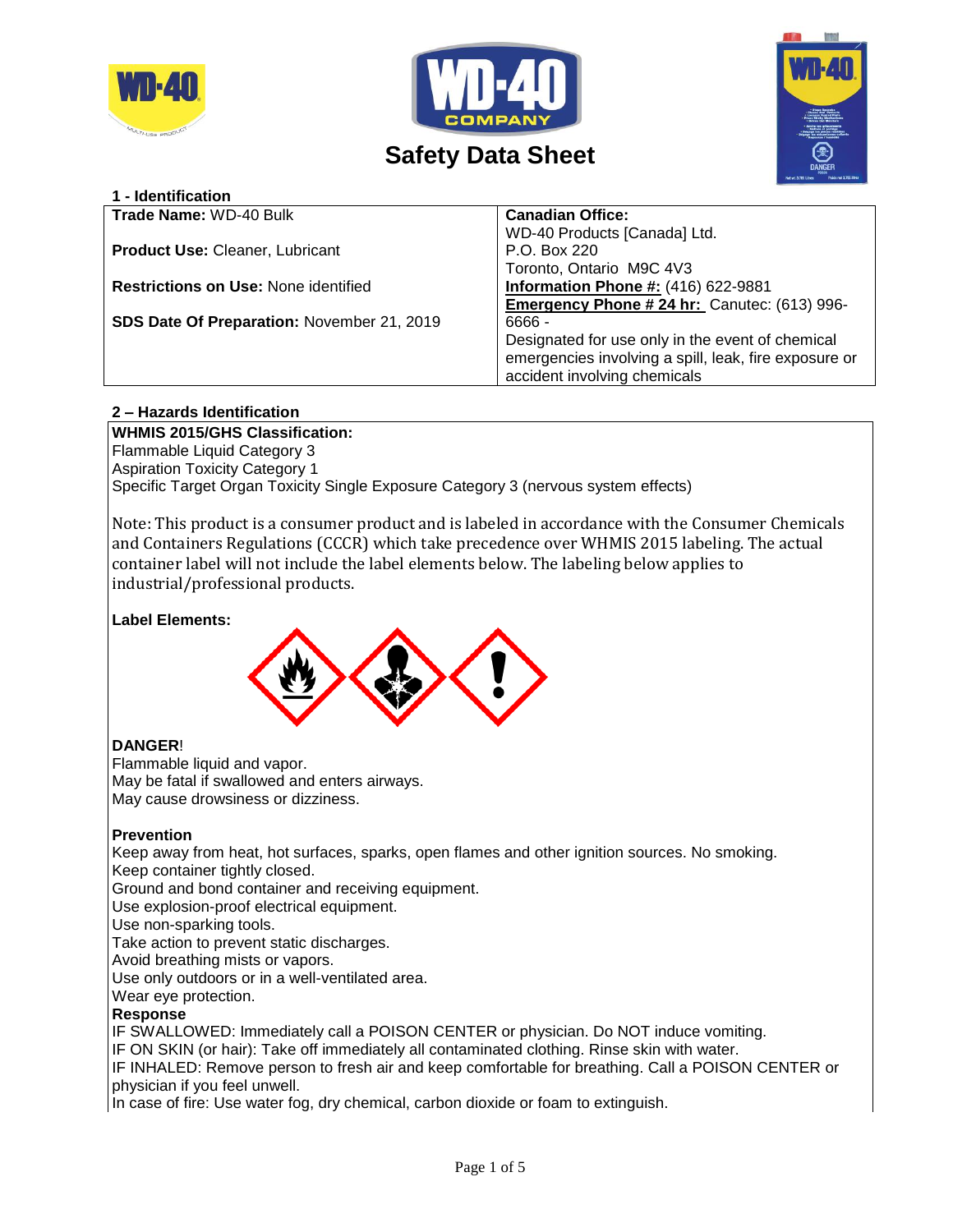





# **Safety Data Sheet**

| <b>Canadian Office:</b><br>WD-40 Products [Canada] Ltd.<br>P.O. Box 220<br>Toronto, Ontario M9C 4V3<br><b>Information Phone #: (416) 622-9881</b><br>Emergency Phone # 24 hr: Canutec: (613) 996-<br>$6666 -$<br>Designated for use only in the event of chemical<br>emergencies involving a spill, leak, fire exposure or | 1 - Identification                          |                              |
|----------------------------------------------------------------------------------------------------------------------------------------------------------------------------------------------------------------------------------------------------------------------------------------------------------------------------|---------------------------------------------|------------------------------|
|                                                                                                                                                                                                                                                                                                                            | <b>Trade Name: WD-40 Bulk</b>               |                              |
|                                                                                                                                                                                                                                                                                                                            |                                             |                              |
|                                                                                                                                                                                                                                                                                                                            | <b>Product Use: Cleaner, Lubricant</b>      |                              |
|                                                                                                                                                                                                                                                                                                                            |                                             |                              |
|                                                                                                                                                                                                                                                                                                                            | <b>Restrictions on Use: None identified</b> |                              |
|                                                                                                                                                                                                                                                                                                                            |                                             |                              |
|                                                                                                                                                                                                                                                                                                                            | SDS Date Of Preparation: November 21, 2019  |                              |
|                                                                                                                                                                                                                                                                                                                            |                                             |                              |
|                                                                                                                                                                                                                                                                                                                            |                                             |                              |
|                                                                                                                                                                                                                                                                                                                            |                                             | accident involving chemicals |

## **2 – Hazards Identification**

**WHMIS 2015/GHS Classification:** Flammable Liquid Category 3 Aspiration Toxicity Category 1 Specific Target Organ Toxicity Single Exposure Category 3 (nervous system effects)

Note: This product is a consumer product and is labeled in accordance with the Consumer Chemicals and Containers Regulations (CCCR) which take precedence over WHMIS 2015 labeling. The actual container label will not include the label elements below. The labeling below applies to industrial/professional products.

#### **Label Elements:**



## **DANGER**!

Flammable liquid and vapor. May be fatal if swallowed and enters airways. May cause drowsiness or dizziness.

## **Prevention**

Keep away from heat, hot surfaces, sparks, open flames and other ignition sources. No smoking. Keep container tightly closed.

Ground and bond container and receiving equipment.

Use explosion-proof electrical equipment.

Use non-sparking tools.

Take action to prevent static discharges.

Avoid breathing mists or vapors.

Use only outdoors or in a well-ventilated area.

Wear eye protection.

#### **Response**

IF SWALLOWED: Immediately call a POISON CENTER or physician. Do NOT induce vomiting.

IF ON SKIN (or hair): Take off immediately all contaminated clothing. Rinse skin with water.

IF INHALED: Remove person to fresh air and keep comfortable for breathing. Call a POISON CENTER or physician if you feel unwell.

In case of fire: Use water fog, dry chemical, carbon dioxide or foam to extinguish.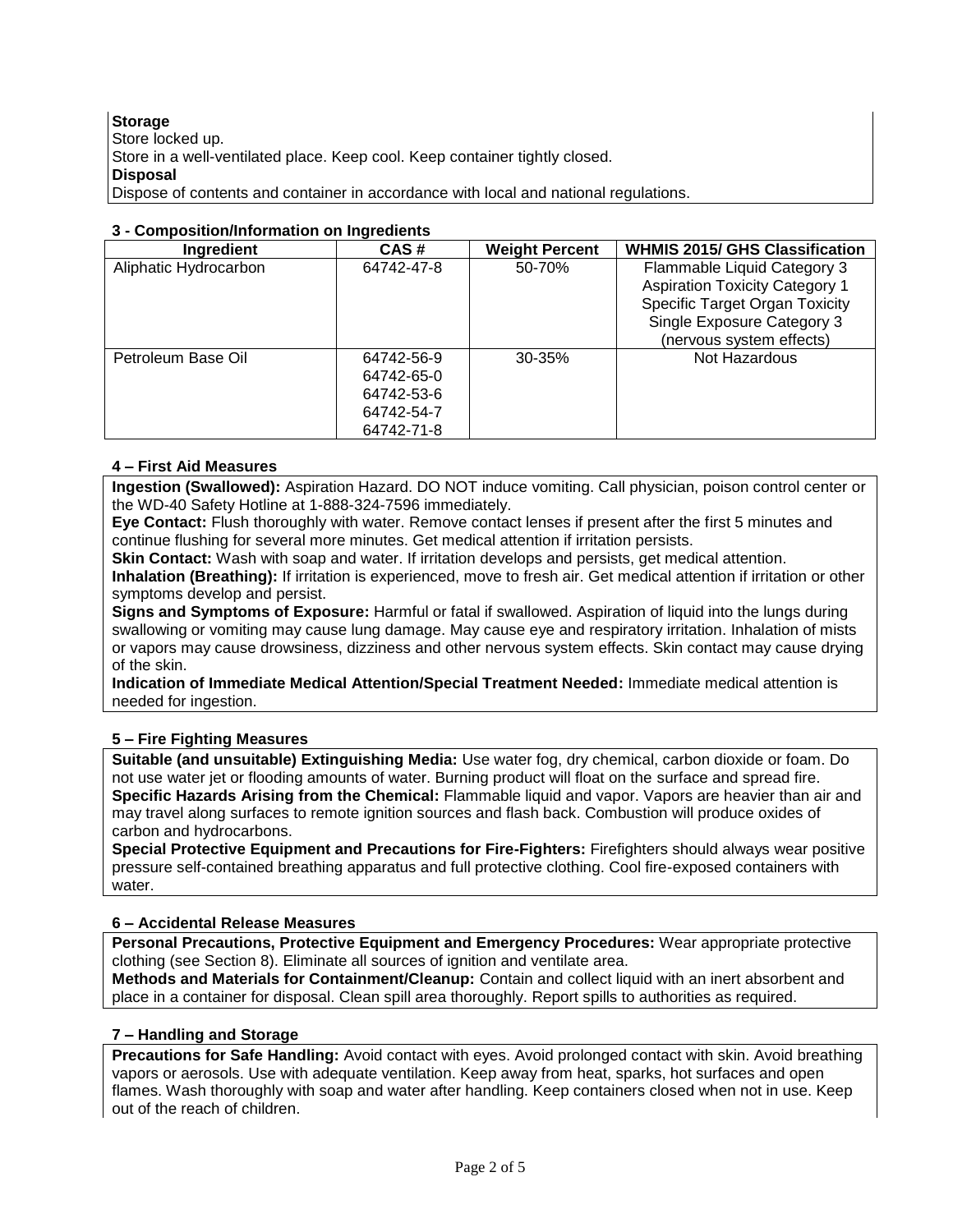**Storage** Store locked up. Store in a well-ventilated place. Keep cool. Keep container tightly closed. **Disposal** Dispose of contents and container in accordance with local and national regulations.

## **3 - Composition/Information on Ingredients**

| Ingredient            | CAS#       | <b>Weight Percent</b> | <b>WHMIS 2015/ GHS Classification</b> |
|-----------------------|------------|-----------------------|---------------------------------------|
| Aliphatic Hydrocarbon | 64742-47-8 | 50-70%                | Flammable Liquid Category 3           |
|                       |            |                       | <b>Aspiration Toxicity Category 1</b> |
|                       |            |                       | <b>Specific Target Organ Toxicity</b> |
|                       |            |                       | Single Exposure Category 3            |
|                       |            |                       | (nervous system effects)              |
| Petroleum Base Oil    | 64742-56-9 | $30 - 35%$            | Not Hazardous                         |
|                       | 64742-65-0 |                       |                                       |
|                       | 64742-53-6 |                       |                                       |
|                       | 64742-54-7 |                       |                                       |
|                       | 64742-71-8 |                       |                                       |

### **4 – First Aid Measures**

**Ingestion (Swallowed):** Aspiration Hazard. DO NOT induce vomiting. Call physician, poison control center or the WD-40 Safety Hotline at 1-888-324-7596 immediately.

**Eye Contact:** Flush thoroughly with water. Remove contact lenses if present after the first 5 minutes and continue flushing for several more minutes. Get medical attention if irritation persists.

**Skin Contact:** Wash with soap and water. If irritation develops and persists, get medical attention.

**Inhalation (Breathing):** If irritation is experienced, move to fresh air. Get medical attention if irritation or other symptoms develop and persist.

**Signs and Symptoms of Exposure:** Harmful or fatal if swallowed. Aspiration of liquid into the lungs during swallowing or vomiting may cause lung damage. May cause eye and respiratory irritation. Inhalation of mists or vapors may cause drowsiness, dizziness and other nervous system effects. Skin contact may cause drying of the skin.

**Indication of Immediate Medical Attention/Special Treatment Needed:** Immediate medical attention is needed for ingestion.

## **5 – Fire Fighting Measures**

**Suitable (and unsuitable) Extinguishing Media:** Use water fog, dry chemical, carbon dioxide or foam. Do not use water jet or flooding amounts of water. Burning product will float on the surface and spread fire. **Specific Hazards Arising from the Chemical:** Flammable liquid and vapor. Vapors are heavier than air and may travel along surfaces to remote ignition sources and flash back. Combustion will produce oxides of carbon and hydrocarbons.

**Special Protective Equipment and Precautions for Fire-Fighters:** Firefighters should always wear positive pressure self-contained breathing apparatus and full protective clothing. Cool fire-exposed containers with water.

## **6 – Accidental Release Measures**

**Personal Precautions, Protective Equipment and Emergency Procedures:** Wear appropriate protective clothing (see Section 8). Eliminate all sources of ignition and ventilate area.

**Methods and Materials for Containment/Cleanup:** Contain and collect liquid with an inert absorbent and place in a container for disposal. Clean spill area thoroughly. Report spills to authorities as required.

## **7 – Handling and Storage**

**Precautions for Safe Handling:** Avoid contact with eyes. Avoid prolonged contact with skin. Avoid breathing vapors or aerosols. Use with adequate ventilation. Keep away from heat, sparks, hot surfaces and open flames. Wash thoroughly with soap and water after handling. Keep containers closed when not in use. Keep out of the reach of children.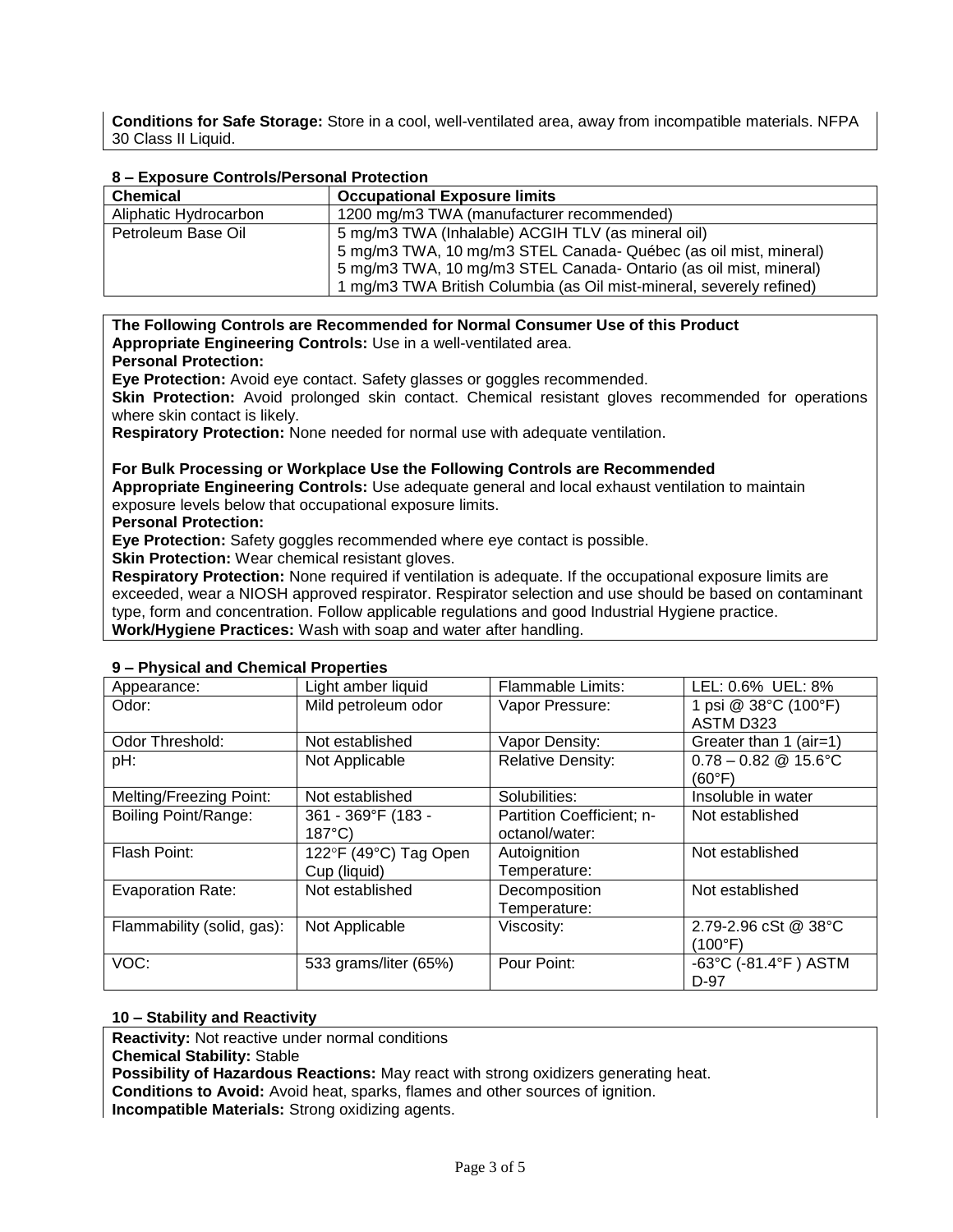**Conditions for Safe Storage:** Store in a cool, well-ventilated area, away from incompatible materials. NFPA 30 Class II Liquid.

| <u>o – Exposure Controls/Personal Protection</u> |                                                                      |  |  |  |
|--------------------------------------------------|----------------------------------------------------------------------|--|--|--|
| <b>Chemical</b>                                  | <b>Occupational Exposure limits</b>                                  |  |  |  |
| Aliphatic Hydrocarbon                            | 1200 mg/m3 TWA (manufacturer recommended)                            |  |  |  |
| Petroleum Base Oil                               | 5 mg/m3 TWA (Inhalable) ACGIH TLV (as mineral oil)                   |  |  |  |
|                                                  | 5 mg/m3 TWA, 10 mg/m3 STEL Canada- Québec (as oil mist, mineral)     |  |  |  |
|                                                  | 5 mg/m3 TWA, 10 mg/m3 STEL Canada-Ontario (as oil mist, mineral)     |  |  |  |
|                                                  | 1 mg/m3 TWA British Columbia (as Oil mist-mineral, severely refined) |  |  |  |

## **8 – Exposure Controls/Personal Protection**

**The Following Controls are Recommended for Normal Consumer Use of this Product Appropriate Engineering Controls:** Use in a well-ventilated area.

#### **Personal Protection:**

**Eye Protection:** Avoid eye contact. Safety glasses or goggles recommended.

**Skin Protection:** Avoid prolonged skin contact. Chemical resistant gloves recommended for operations where skin contact is likely.

**Respiratory Protection:** None needed for normal use with adequate ventilation.

**For Bulk Processing or Workplace Use the Following Controls are Recommended Appropriate Engineering Controls:** Use adequate general and local exhaust ventilation to maintain exposure levels below that occupational exposure limits.

**Personal Protection:**

**Eye Protection:** Safety goggles recommended where eye contact is possible.

**Skin Protection:** Wear chemical resistant gloves.

**Respiratory Protection:** None required if ventilation is adequate. If the occupational exposure limits are exceeded, wear a NIOSH approved respirator. Respirator selection and use should be based on contaminant type, form and concentration. Follow applicable regulations and good Industrial Hygiene practice. **Work/Hygiene Practices:** Wash with soap and water after handling.

| Appearance:                | Light amber liquid    | <b>Flammable Limits:</b>  | LEL: 0.6% UEL: 8%                         |
|----------------------------|-----------------------|---------------------------|-------------------------------------------|
| Odor:                      | Mild petroleum odor   | Vapor Pressure:           | 1 psi @ 38°C (100°F)                      |
|                            |                       |                           | ASTM D323                                 |
| Odor Threshold:            | Not established       | Vapor Density:            | Greater than 1 (air=1)                    |
| pH:                        | Not Applicable        | <b>Relative Density:</b>  | $0.78 - 0.82 \& 15.6^{\circ}$ C           |
|                            |                       |                           | (60°F)                                    |
| Melting/Freezing Point:    | Not established       | Solubilities:             | Insoluble in water                        |
| Boiling Point/Range:       | 361 - 369°F (183 -    | Partition Coefficient; n- | Not established                           |
|                            | $187^{\circ}$ C)      | octanol/water:            |                                           |
| Flash Point:               | 122°F (49°C) Tag Open | Autoignition              | Not established                           |
|                            | Cup (liquid)          | Temperature:              |                                           |
| <b>Evaporation Rate:</b>   | Not established       | Decomposition             | Not established                           |
|                            |                       | Temperature:              |                                           |
| Flammability (solid, gas): | Not Applicable        | Viscosity:                | 2.79-2.96 cSt @ 38°C                      |
|                            |                       |                           | $(100^{\circ}F)$                          |
| VOC:                       | 533 grams/liter (65%) | Pour Point:               | $-63^{\circ}$ C (-81.4 $^{\circ}$ F) ASTM |
|                            |                       |                           | D-97                                      |

#### **9 – Physical and Chemical Properties**

#### **10 – Stability and Reactivity**

**Reactivity:** Not reactive under normal conditions

**Chemical Stability:** Stable

**Possibility of Hazardous Reactions:** May react with strong oxidizers generating heat.

**Conditions to Avoid:** Avoid heat, sparks, flames and other sources of ignition.

**Incompatible Materials:** Strong oxidizing agents.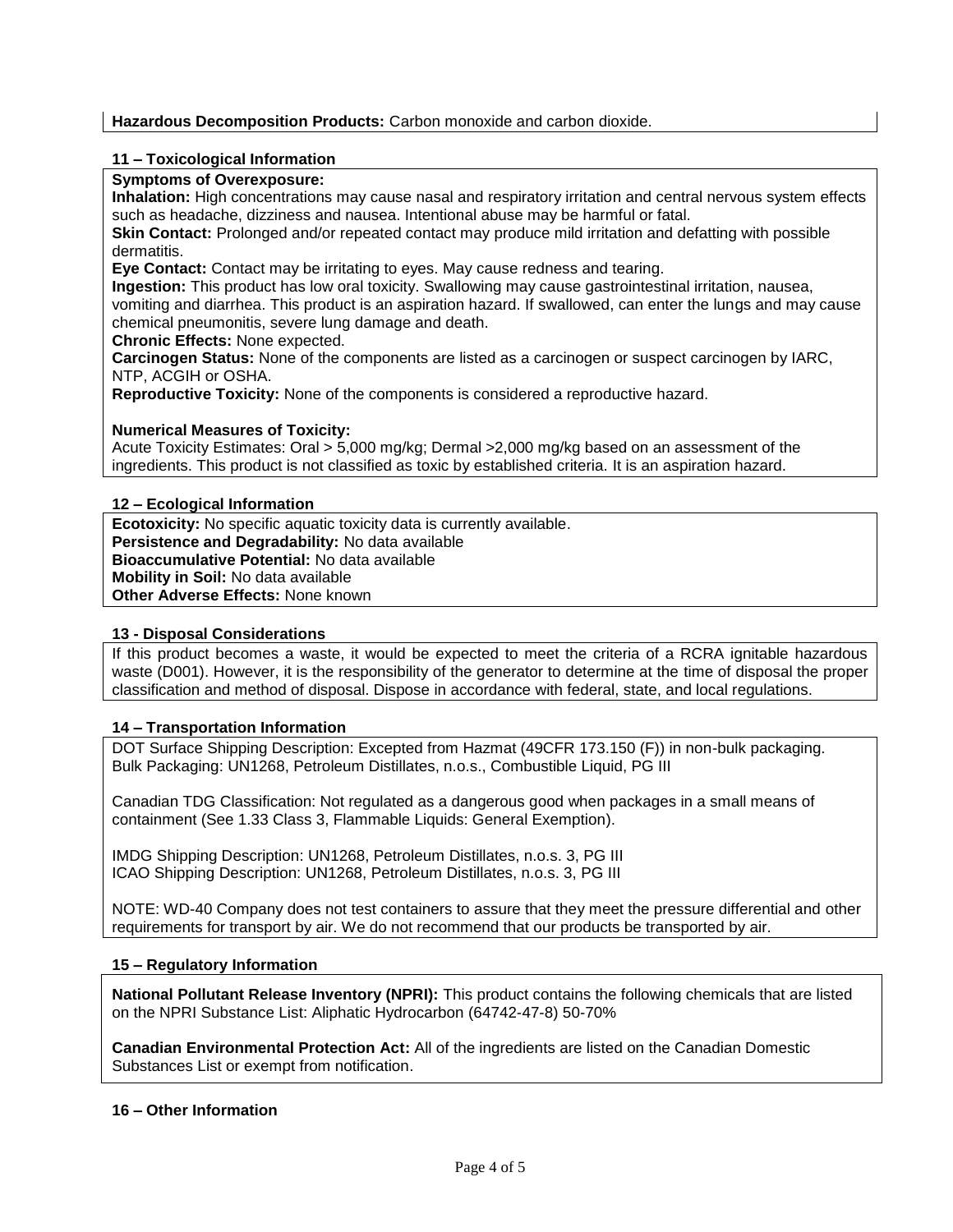### **Hazardous Decomposition Products:** Carbon monoxide and carbon dioxide.

### **11 – Toxicological Information**

## **Symptoms of Overexposure:**

**Inhalation:** High concentrations may cause nasal and respiratory irritation and central nervous system effects such as headache, dizziness and nausea. Intentional abuse may be harmful or fatal.

**Skin Contact:** Prolonged and/or repeated contact may produce mild irritation and defatting with possible dermatitis.

**Eye Contact:** Contact may be irritating to eyes. May cause redness and tearing.

**Ingestion:** This product has low oral toxicity. Swallowing may cause gastrointestinal irritation, nausea,

vomiting and diarrhea. This product is an aspiration hazard. If swallowed, can enter the lungs and may cause chemical pneumonitis, severe lung damage and death.

#### **Chronic Effects:** None expected.

**Carcinogen Status:** None of the components are listed as a carcinogen or suspect carcinogen by IARC, NTP, ACGIH or OSHA.

**Reproductive Toxicity:** None of the components is considered a reproductive hazard.

#### **Numerical Measures of Toxicity:**

Acute Toxicity Estimates: Oral > 5,000 mg/kg; Dermal >2,000 mg/kg based on an assessment of the ingredients. This product is not classified as toxic by established criteria. It is an aspiration hazard.

#### **12 – Ecological Information**

**Ecotoxicity:** No specific aquatic toxicity data is currently available. **Persistence and Degradability:** No data available **Bioaccumulative Potential:** No data available **Mobility in Soil:** No data available **Other Adverse Effects:** None known

#### **13 - Disposal Considerations**

If this product becomes a waste, it would be expected to meet the criteria of a RCRA ignitable hazardous waste (D001). However, it is the responsibility of the generator to determine at the time of disposal the proper classification and method of disposal. Dispose in accordance with federal, state, and local regulations.

#### **14 – Transportation Information**

DOT Surface Shipping Description: Excepted from Hazmat (49CFR 173.150 (F)) in non-bulk packaging. Bulk Packaging: UN1268, Petroleum Distillates, n.o.s., Combustible Liquid, PG III

Canadian TDG Classification: Not regulated as a dangerous good when packages in a small means of containment (See 1.33 Class 3, Flammable Liquids: General Exemption).

IMDG Shipping Description: UN1268, Petroleum Distillates, n.o.s. 3, PG III ICAO Shipping Description: UN1268, Petroleum Distillates, n.o.s. 3, PG III

NOTE: WD-40 Company does not test containers to assure that they meet the pressure differential and other requirements for transport by air. We do not recommend that our products be transported by air.

#### **15 – Regulatory Information**

**National Pollutant Release Inventory (NPRI):** This product contains the following chemicals that are listed on the NPRI Substance List: Aliphatic Hydrocarbon (64742-47-8) 50-70%

**Canadian Environmental Protection Act:** All of the ingredients are listed on the Canadian Domestic Substances List or exempt from notification.

#### **16 – Other Information**